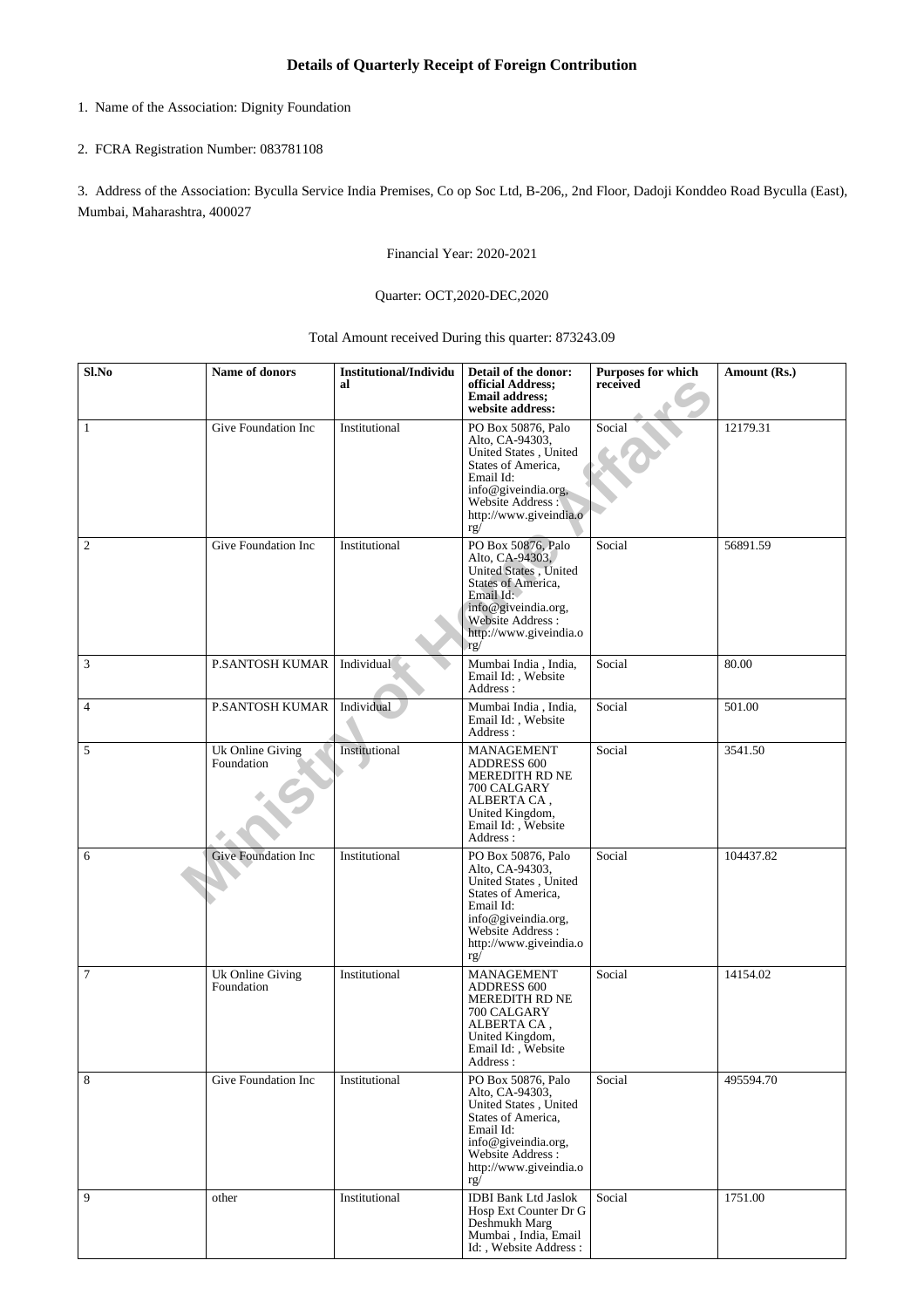- 1. Name of the Association: Dignity Foundation
- 2. FCRA Registration Number: 083781108

3. Address of the Association: Byculla Service India Premises, Co op Soc Ltd, B-206,, 2nd Floor, Dadoji Konddeo Road Byculla (East), Mumbai, Maharashtra, 400027

Financial Year: 2020-2021

## Quarter: OCT,2020-DEC,2020

## Total Amount received During this quarter: 873243.09

| Sl.No            | Name of donors                 | Institutional/Individu<br>al | Detail of the donor:<br>official Address;<br><b>Email address;</b><br>website address:                                                                                         | <b>Purposes for which</b><br>received | Amount (Rs.) |
|------------------|--------------------------------|------------------------------|--------------------------------------------------------------------------------------------------------------------------------------------------------------------------------|---------------------------------------|--------------|
| $\mathbf{1}$     | Give Foundation Inc            | Institutional                | PO Box 50876, Palo<br>Alto, CA-94303,<br>United States, United<br>States of America,<br>Email Id:<br>info@giveindia.org,<br>Website Address:<br>http://www.giveindia.o<br>rg/  | Social                                | 12179.31     |
| $\boldsymbol{2}$ | Give Foundation Inc            | Institutional                | PO Box 50876, Palo<br>Alto, CA-94303,<br>United States, United<br>States of America,<br>Email Id:<br>info@giveindia.org,<br>Website Address:<br>http://www.giveindia.o<br>rg/  | Social                                | 56891.59     |
| 3                | <b>P.SANTOSH KUMAR</b>         | Individual                   | Mumbai India, India,<br>Email Id: , Website<br>Address:                                                                                                                        | Social                                | 80.00        |
| $\overline{4}$   | <b>P.SANTOSH KUMAR</b>         | Individual                   | Mumbai India, India,<br>Email Id:, Website<br>Address:                                                                                                                         | Social                                | 501.00       |
| 5                | Uk Online Giving<br>Foundation | Institutional                | MANAGEMENT<br><b>ADDRESS 600</b><br>MEREDITH RD NE<br>700 CALGARY<br>ALBERTA CA,<br>United Kingdom,<br>Email Id: , Website<br>Address:                                         | Social                                | 3541.50      |
| 6                | <b>Give Foundation Inc</b>     | Institutional                | PO Box 50876, Palo<br>Alto, CA-94303,<br>United States, United<br>States of America,<br>Email Id:<br>info@giveindia.org,<br>Website Address:<br>http://www.giveindia.o<br>rg/  | Social                                | 104437.82    |
| 7                | Uk Online Giving<br>Foundation | Institutional                | <b>MANAGEMENT</b><br><b>ADDRESS 600</b><br>MEREDITH RD NE<br>700 CALGARY<br>ALBERTA CA,<br>United Kingdom,<br>Email Id:, Website<br>Address :                                  | Social                                | 14154.02     |
| $\,8\,$          | Give Foundation Inc            | Institutional                | PO Box 50876, Palo<br>Alto, CA-94303,<br>United States, United<br>States of America,<br>Email Id:<br>info@giveindia.org,<br>Website Address :<br>http://www.giveindia.o<br>rg/ | Social                                | 495594.70    |
| 9                | other                          | Institutional                | <b>IDBI Bank Ltd Jaslok</b><br>Hosp Ext Counter Dr G<br>Deshmukh Marg<br>Mumbai, India, Email<br>Id:, Website Address:                                                         | Social                                | 1751.00      |